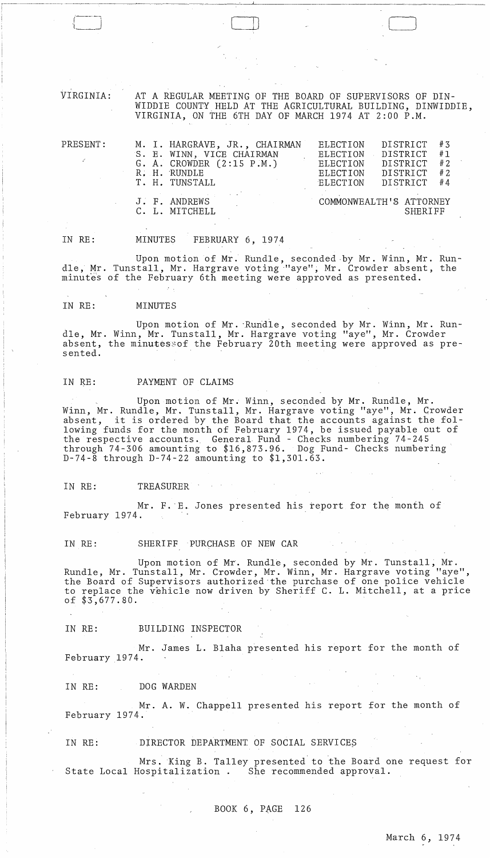VIRGINIA: AT A REGULAR MEETING OF THE BOARD OF SUPERVISORS OF DIN-WIDDIE COUNTY. HELD AT THE AGRICULTURAL BUILDING, DINWIDDIE, VIRGINIA, ON THE 6TH DAY OF MARCH 1974 AT 2:00 P.M.

 $\Box$ 

| PRESENT: | M. I. HARGRAVE, JR., CHAIRMAN<br>S. E. WINN, VICE CHAIRMAN<br>G. A. CROWDER $(2:15 \text{ P.M.})$<br>R. H. RUNDLE<br>T. H. TUNSTALL | ELECTION<br>ELECTION<br>ELECTION<br><b>ELECTION</b><br>ELECTION | DISTRICT<br>DISTRICT<br>DISTRICT<br>DISTRICT<br>DISTRICT | # 3<br>#1<br>#2<br># 2<br>#4 |
|----------|-------------------------------------------------------------------------------------------------------------------------------------|-----------------------------------------------------------------|----------------------------------------------------------|------------------------------|
|          | J. F. ANDREWS<br>C. L. MITCHELL                                                                                                     | COMMONWEALTH'S ATTORNEY                                         | SHERIFF                                                  |                              |

IN RE: MINUTES FEBRUARY 6, 1974

Upon motion of Mr. Rundle, seconded·by Mr. Winn, Mr. Rundle, Mr. Tunstall, Mr. Hargrave voting "aye", Mr. Crowder absent, the minutes of the February 6th meeting were approved as presented.

#### IN RE: MINUTES

*r---'*   $\iota$ 

Upon motion of Mr. Rundle, seconded by Mr. Winn, Mr. RundIe, Mr. Winn, Mr. Tunstall, Mr. Hargrave voting "aye", Mr. Crowder absent, the minutessof the February 20th meeting were approved as presented.

## IN RE: PAYMENT OF CLAIMS

Upon motion of Mr. Winn, seconded by Mr. Rundle, Mr. Winn, Mr. Rundle, Mr. Tunstall, Mr. Hargrave voting "aye", Mr. Crowder winn, M. Rundle, M. Tunstall, M. Haigrave voling aye, M. Growden<br>absent, it is ordered by the Board that the accounts against the following funds for the month of February 1974, be issued payable out of the respective accounts. General Fund - Checks numbering 74-245 through 74-306 amounting to \$16,873.96. Dog Fund- Checks numbering D-74-8 through D-74-22 amounting to \$1,301.63.

IN RE: TREASURER

Mr. F. E. Jones presented his report for the month of February 1974.

#### IN RE: SHERIFF PURCHASE OF NEW CAR

Upon motion of Mr. Rundle, seconded by Mr. Tunstall; Mr. Rundle, Mr. Tunstall, Mr. Crowder, Mr. Winn, Mr. Hargrave voting "aye", the Board of Supervisors authorized-the purchase of one police vehicle to replace the vehicle now driven by Sheriff C. L. Mitchell, at a price of \$3,677.80.

IN RE: BUILDING INSPECTOR

Mr. James L. Blaha presented his report for the month of February 1974.

IN RE: DOG WARDEN

Mr. A. W. Chappell presented his report for the month of February 1974.

IN RE: DIRECTOR DEPARTMENT OF SOCIAL SERVICES

Mrs. King B. Talley presented to the Board one request for State Local Hospitalization. She recommended approval.

BOOK  $6$ , PAGE 126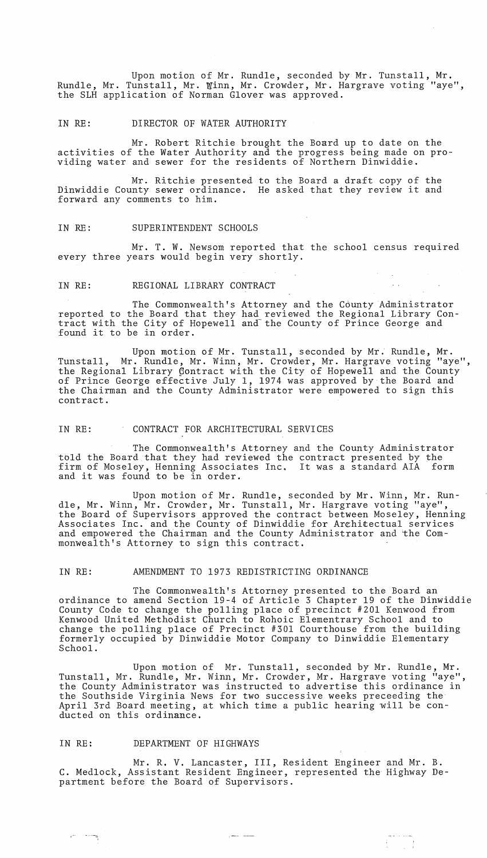Upon motion of Mr. Rundle, seconded by Mr. Tunstall, Mr. Rundle, Mr. Tunstall, Mr. Winn, Mr. Crowder, Mr. Hargrave voting "aye", the SLH application of Norman Glover was approved.

#### IN RE: DIRECTOR OF WATER AUTHORITY

Mr. Robert Ritchie brought the Board up to date on the activities of the Water Authority and the progress being made on providing water and sewer for the residents of Northern Dinwiddie.

Mr. Ritchie presented to the Board a draft copy of the Dinwiddie County sewer ordinance. He asked that they review it and forward any comments to him.

#### IN RE: SUPERINTENDENT SCHOOLS

Mr. T. W. Newsom reported that the school census required every three years would begin very shortly.

## IN RE: REGIONAL LIBRARY CONTRACT

The Commonwealth's Attorney and the County Administrator reported to the Board that they had reviewed the Regional Library Contract with the City of Hopewell and-the County of Prince George and found it to be in order.

Upon motion of Mr. Tunstall, seconded by Mr. Rundle, Mr. Tunstall, Mr. Rundle, Mr. Winn, Mr. Crowder, Mr. Hargrave voting "aye", the Regional Library contract with the City of Hopewell and the County of Prince George effective July 1, 1974 was approved by the Board and the Chairman and the County Administrator were empowered to sign this contract.

## IN RE: CONTRACT FOR ARCHITECTURAL SERVICES

The Commonwealth's Attorney and the County Administrator told the Board that they had reviewed the contract presented by the firm of Moseley, Henning Associates Inc. It was a standard AlA form and it was found to be in order.

Upon motion of Mr. Rundle, seconded by Mr. Winn, Mr. Rundle, Mr. Winn, Mr. Crowder, Mr. Tunstall, Mr. Hargrave voting "aye", the Board of Supervisors approved the contract between Moseley, Henning Associates Inc. and the County of Dinwiddie for Arehitectual services and empowered the Chairman and the County Administrator and 'the Commonwealth's Attorney to sign this contract.

## IN RE: AMENDMENT TO 1973 REDISTRICTING ORDINANCE

The Commonwealth's Attorney presented to the Board an ordinance to amend Section 19-4 of Article 3 Chapter 19 of the Dinwiddie County Code to change the polling place of precinct #201 Kenwood from Kenwood United Methodist Church to Rohoic Elementrary School and to change the polling place of Precinct #301 Courthouse from the building formerly occupied by Dinwiddie Motor Company to Dinwiddie Elementary School.

Upon motion of Mr. Tunstall, seconded by Mr. Rundle, Mr. Tunstall, Mr. Rundle, Mr. Winn, Mr. Crowder, Mr. Hargrave voting "aye", the County Administrator was instructed to advertise this ordinance in the Southside Virginia News for two successive weeks preceeding the April 3rd Board meeting, at which time a public hearing will be conducted on this ordinance.

## IN RE: DEPARTMENT OF HIGHWAYS

~

Mr. R. V. Lancaster, III, Resident Engineer and Mr. B. C. Medlock, Assistant Resident Engineer, represented the Highway Department before the Board of Supervisors.

 $\frac{1}{2}$  ,  $\frac{1}{2}$  ,  $\frac{1}{2}$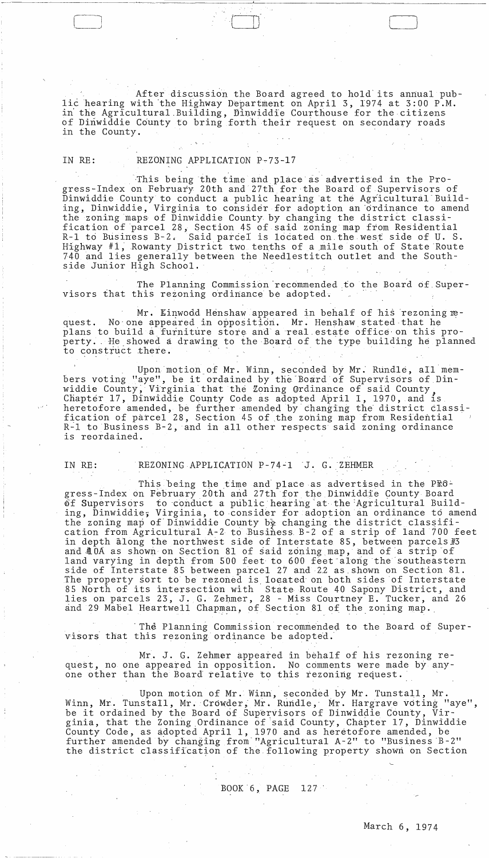After discussion the Board agreed to hold its annual public hearing with the Highway Department on April 3, 1974 at 3:00 P.M. in the Agricultural Building, Dinwiddie Courthouse for the citizens of Dinwiddie County to bring forth their request on secondary roads in the County.

IN RE: REZONING APPLICATION P-73-17

,  $\mathbf{s} \cdot \mathbf{r}$ 

This being the time and place as advertised in the Progress-Index on February 20th and 27th for the Board of Supervisors of Dinwiddie County to conduct a public hearing at the Agricultural Building, Dinwiddie, Virginia to consider for adoption an ordinance to amend the zoning maps of Dinwiddie County by changing the district classification of parcel 28, Section 45 of said zoning map from Residential R-1 to Business B-2. Said parcel is located on the west side of U. S. Highway  $#1$ , Rowanty District two tenths of a mile south of State Route 740 and lies generally between the Needlestitch outlet and the Southside Junior High School.

The Planning Commission 'recommended to the Board of Supervisors that this rezoning ordinance be adopted.

Mr. Einwodd Henshaw appeared in behalf of his rezoning request. No one appeared in opposition. Mr. Henshaw stated that he plans to build a furniture store and a real estate office on this property. He showed a drawing to the Board of the type building he planned<br>to construct there. side Junior High School.<br>
The Planning Commission recommended to the Board of S<br>
visors that this rezoning ordinance be adopted.<br>
Mr. Einwood Henshaw appeared in behalf of his rezoning<br>
quest. No one appeared in opposition

Upon motion of Mr. Winn, seconded by Mr. Rundle, all members voting "aye", be it ordained by the Board of Supervisors of Dinwiddie County, Virginia that the Zoning Ordinance of said County Chapter 17, Dinwiddie County Code as adopted April I, 1970, and is heretofore amended, be further amended by' changing the' district classification of parcel 28, Section 45 of the zohing map from Residential R~l to Business B-2,and in all other respects said zoning ordinance is reordained.

---,----,  $\Box$ 

IN RE: REZONING APPLICATION P-74-1 J. G. ZEHMER

This being the time and place as advertised in the  $PE^c$ . gress-Index on February 20th and 27th for the Dinwiddie County Board<br>of Supervisors to conduct a public hearing at the Agricultural Buil to conduct a public hearing at the Agricultural Building, Dinwiddie; Virginia, to consider for adoption an ordinance to amend the zoning map of Dinwiddie County by changing the district classification from Agricultural A-2 to Business B-2 of a strip of land 700 feet in depth along the northwest side of Interstate 85, between parcels  $\#3$ and  $\#$  OA as shown on Section 81 of said zoning map, and of a strip of land varying in depth from 500 feet to 600 feet along the southeastern side of Interstate 85 between parcel 27 and 22 as.shown on Section 81. The property sort to be rezoned is located on both sides of Interstate and property sort to be regened is reduced on boen sides of intersected as a North of its intersection with State Route 40 Sapony District, and dies on parcels 23, J. G. Zehmer, 28 - Miss Courtney E. Tucker, and 26 and 29 Mabel Heartwell Chapman, of Section 81 of the zoning map.

'The Planning Commission recommended to the Board of Supervisors that this rezoning ordinance be adopted.

Mr. J. G. Zehmer appeared in behalf of his rezoning request, no one appeared in opposition. No comments were made by anyone other than the Board relative to this rezoning request.

Upon motion of Mr. Winn, seconded by Mr. Tunstall, Mr. Winn, Mr. Tunstall, Mr. Crowder, Mr. Rundle, Mr. Hargrave voting "aye", be it ordained by the Board of Supervisors of Dinwiddie County, Virginia, that the Zoning Ordinance of said County, Chapter 17, Dinwiddie County Code, as adopted April 1, 1970 and as heretofore amended, be further amended by changing from'''Agricultural A-2" to "Business 'B-2" the district classification of the following property shown on Section

BOOK 6, PAGE 127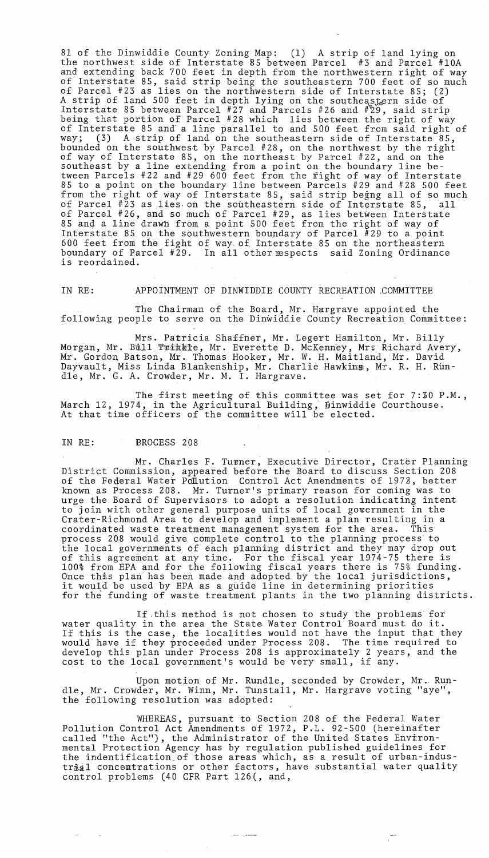81 of the Dinwiddie County Zoning Map: (1) A strip of land lying on the northwest side of Interstate 85 between Parcel #3 and Parcel #10A and extending back 700 feet in depth from the northwestern right of way of Interstate 85, said strip being the southeastern 700 feet of so much of Parcel #23 as lies on the northwestern side of Interstate 85; (2) A strip of land 500 feet in depth lying on the southeastern side of Interstate 85 between Parcel  $#27$  and Parcels  $#26$  and  $#29$ , said strip being that portion of Parcel #28 which lies between the right of way of Interstate 85 and a line parallel to and 500 feet from said right of way; (3) A strip of land on the southeastern side of Interstate 85, bounded on the southwest by Parcel #28, on the northwest by the right of way of Interstate 85, on the northeast by Parcel #22, and on the southeast by a line extending from a point on the boundary line between ParcelS #22 and #29 600 feet from the fight of way of Interstate 85 to a point on the boundary line between Parcels #29 and #28 500 feet from the right of way of Interstate 85, said strip begng all of so much of Parcel #23 as lies on the southeastern side of Interstate 85, all of Parcel #26, and so much of Parcel #29, as lies between Interstate 85 and a line drawn from a point 500 feet from the right of way of Interstate 85 on the southwestern boundary of Parcel  $#29$  to a point 600 feet from the fight of way~ of Interstate 85 on the northeastern boundary of Parcel #29. In all other respects said Zoning Ordinance is reordained.

IN RE: APPOINTMENT OF DINWIDDIE COUNTY RECREATION ,COMMITTEE

The Chairman of the Board, Mr. Hargrave appointed the following people to serve on the Dinwiddie County Recreation Committee:

Mrs. Patricia Shaffner, Mr. Legert Hamilton, Mr. Billy Morgan, Mr. Bull Twihkle, Mr. Everette D. McKenney, Mrs Richard Avery, Mr. Gordon Batson, Mr. Thomas Hooker, Mr. W. H. Maitland, Mr. David Dayvault, Miss Linda Blankenship, Mr. Charlie Hawkims, Mr. R. H. Rundle, Mr. G. A. Crowder, Mr. M. I. Hargrave.

The first meeting of this committee was set for  $7:30$  P.M., March 12, 1974, in the Agricultural Building, Dinwiddie Courthouse. At that time officers of the committee will be elected.

# IN RE: PROCESS 208

Mr. Charles F. Turner, Executive Director, Crater Planning District Commission, appeared before the Board to discuss Section 208 of the Federal Water Pollution Control Act Amendments of 197Z, better known as Process 20'8. Mr. Turner's primary reason for coming was to urge the Board of Supervisors to adopt a resolution indicating intent to join with other general purpose units of local government in the Crater-Richmond Area to develop and implement a plan resulting in a coordinated waste treatment management system for the area. This process 208 would give complete control to the planning process to the local governments of each planning district and they may drop out of this agreement at any time. For the fiscal year 1974-75 there is 100% from EPA and for the following fiscal years there is 75% funding. note this plan has been made and adopted by the local jurisdictions, once this plan has been made and adopted by the local jurisdiction<br>it would be used by EPA as a guide line in determining priorities for the funding of waste treatment plants in the two planning districts.

If this method is not chosen to study the problems for water quality in the area the State Water Control Board must do it. If this is the case, the localities would not have the input that they would have if they proceeded under Process 208. The time required to develop this plan under Process 208 is approximately 2 years, and the cost to the local government's would be very small, if any.

Upon motion of Mr. Rundle, seconded by Crowder, Mr. RundIe, Mr. Crowder, Mr. Winn, Mr. Tunstall, Mr. Hargrave voting "aye", the following resolution was adopted:

WHEREAS, pursuant to Section 208 of the Federal Water Pollution Control Act Amendments of 1972, P.L. 92-500 (hereinafter called "the Act"), the Administrator of the United States Environmental Protection Agency has by regulation published guidelines for the indentification.of those areas which, as a result of urban-industrial concentrations or other factors, have substantial water quality control problems (40 CFR Part 126(, and,

يستسعى والمندر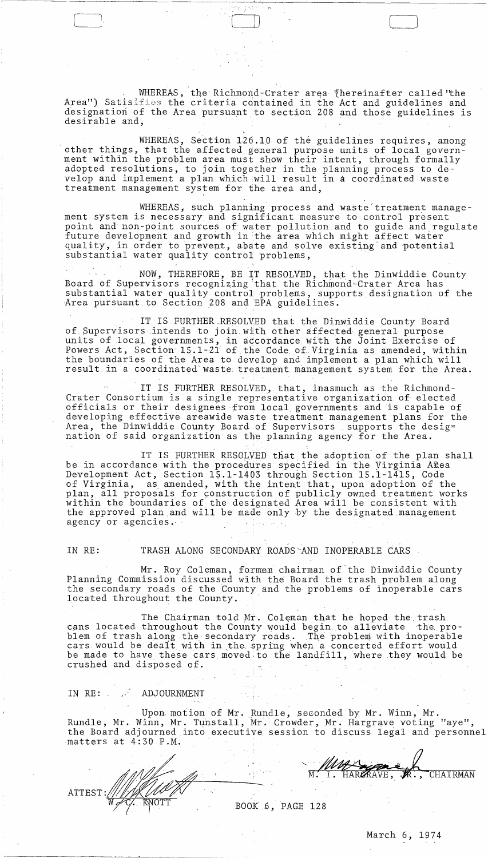WHEREAS, the Richmond-Crater area thereinafter called the Area") Satisifies the criteria contained in the Act and guidelines and designation of the Area pursuant to section 208 and those guidelines is desirable and,

WHEREAS, Section  $126.10$  of the guidelines requires, among other things, that the affected general purpose units of local government within the problem area must show their intent, through formally adopted resolutions, to join together in the planning process to develop and implement a plan which will result in a coordinated waste treatment management system for the area and,

WHEREAS, such planning process and waste treatment management system is necessary and significant measure to control present point and non-point sources of water pollution and to guide and regulate future development and growth in the area which might affect water quality, in order to prevent, abate and solve existing and potential substantial water quality control problems,

NOW, THEREFORE, BE IT RESOLVED, that the Dinwiddie County Board of Supervisors recognizing that the Richmond-Crater Area has substantial water quality control problems, supports designation of the Area pursuant to Section 208 and EPA guidelines.

IT IS FURTHER RESOLVED that the Dinwiddie County Board of Supervisors intends to join with other affected general purpose units of local governments, in accordance with the Joint Exercise of Powers Act, Section 15.1-21 of the Code of Virginia as amended, within the boundaries of the Area to develop and implement a plan which will result in a coordinated waste treatment management system for the Area.

IT IS FURTHER RESOLVED, that, inasmuch as the Richmond-Crater Consortium is a single representative organization of elected officials or their designees from local governments and is capable of developing effective areawide waste treatment management plans for the Area, the Dinwiddie County Board of Supervisors supports the desig= nation of said organization as the planning agency for the Area.

IT IS FURTHER RESOLVED that the adoption of the plan shall be in accordance with the procedures specified in the Virginia Area Development Act, Section 15.1-1403 through Section 15.1-1415, Code of Virginia, as amended, with the intent that, upon adoption of the plan, all proposals for construction of publicly owned treatment works within the boundaries of the designated Area will be consistent with the approved plan and will be made only by the designated management agency or agencies.

## IN RE:

ATTEST

# TRASH ALONG SECONDARY ROADS AND INOPERABLE CARS

Mr. Roy Coleman, former chairman of the Dinwiddie County Planning Commission discussed with the Board the trash problem along the secondary roads of the County and the problems of inoperable cars located throughout the County.

The Chairman told Mr. Coleman that he hoped the trash cans located throughout the County would begin to alleviate the problem of trash along the secondary roads. The problem with inoperable cars would be dealt with in the spring when a concerted effort would be made to have these cars moved to the landfill, where they would be crushed and disposed of.

#### IN RE:  $\mathbb{R}^2$ ADJOURNMENT

Upon motion of Mr. Rundle, seconded by Mr. Winn Мr Rundle, Mr. Winn, Mr. Tunstall, Mr. Crowder, Mr. Hargrave voting "aye", the Board adjourned into executive session to discuss legal and personnel matters at 4:30 P.M.

**CHATRMAN** 

BOOK 6, PAGE 128